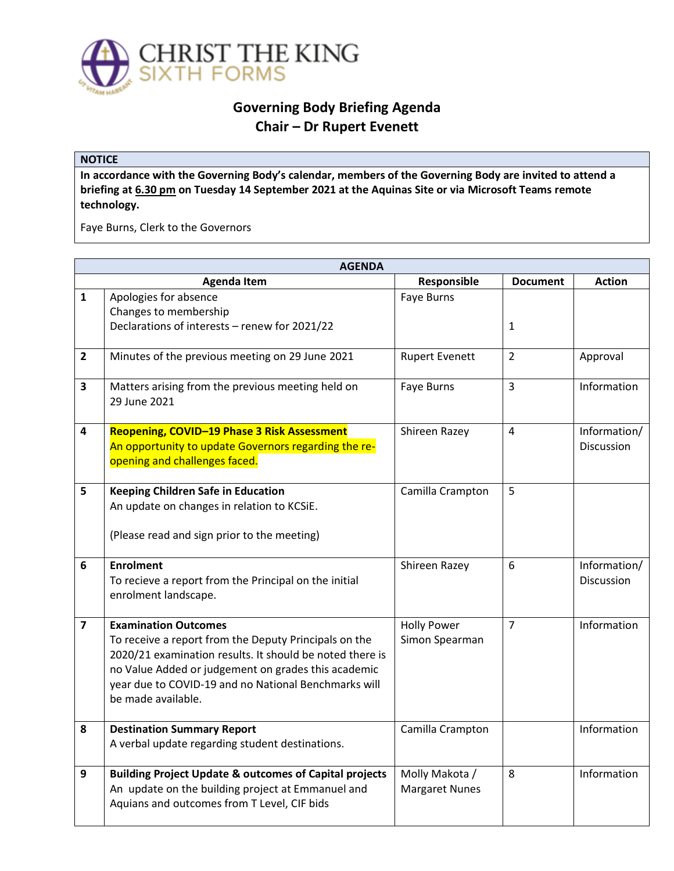

## **Governing Body Briefing Agenda Chair – Dr Rupert Evenett**

## **NOTICE**

**In accordance with the Governing Body's calendar, members of the Governing Body are invited to attend a briefing at 6.30 pm on Tuesday 14 September 2021 at the Aquinas Site or via Microsoft Teams remote technology.** 

Faye Burns, Clerk to the Governors

| <b>AGENDA</b>           |                                                                                                                                                                                                                                                                                       |                                         |                 |                            |  |
|-------------------------|---------------------------------------------------------------------------------------------------------------------------------------------------------------------------------------------------------------------------------------------------------------------------------------|-----------------------------------------|-----------------|----------------------------|--|
|                         | <b>Agenda Item</b>                                                                                                                                                                                                                                                                    | Responsible                             | <b>Document</b> | <b>Action</b>              |  |
| $\mathbf{1}$            | Apologies for absence<br>Changes to membership<br>Declarations of interests - renew for 2021/22                                                                                                                                                                                       | Faye Burns                              | 1               |                            |  |
| $\overline{2}$          | Minutes of the previous meeting on 29 June 2021                                                                                                                                                                                                                                       | <b>Rupert Evenett</b>                   | $\overline{2}$  | Approval                   |  |
| 3                       | Matters arising from the previous meeting held on<br>29 June 2021                                                                                                                                                                                                                     | <b>Faye Burns</b>                       | 3               | Information                |  |
| 4                       | Reopening, COVID-19 Phase 3 Risk Assessment<br>An opportunity to update Governors regarding the re-<br>opening and challenges faced.                                                                                                                                                  | Shireen Razey                           | 4               | Information/<br>Discussion |  |
| 5                       | Keeping Children Safe in Education<br>An update on changes in relation to KCSiE.<br>(Please read and sign prior to the meeting)                                                                                                                                                       | Camilla Crampton                        | 5               |                            |  |
| 6                       | <b>Enrolment</b><br>To recieve a report from the Principal on the initial<br>enrolment landscape.                                                                                                                                                                                     | Shireen Razey                           | 6               | Information/<br>Discussion |  |
| $\overline{\mathbf{z}}$ | <b>Examination Outcomes</b><br>To receive a report from the Deputy Principals on the<br>2020/21 examination results. It should be noted there is<br>no Value Added or judgement on grades this academic<br>year due to COVID-19 and no National Benchmarks will<br>be made available. | <b>Holly Power</b><br>Simon Spearman    | $\overline{7}$  | Information                |  |
| 8                       | <b>Destination Summary Report</b><br>A verbal update regarding student destinations.                                                                                                                                                                                                  | Camilla Crampton                        |                 | Information                |  |
| 9                       | <b>Building Project Update &amp; outcomes of Capital projects</b><br>An update on the building project at Emmanuel and<br>Aquians and outcomes from T Level, CIF bids                                                                                                                 | Molly Makota /<br><b>Margaret Nunes</b> | 8               | Information                |  |